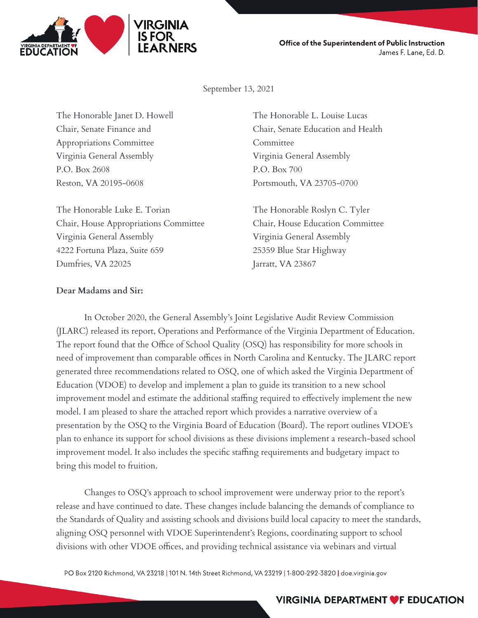

Office of the Superintendent of Public Instruction James F. Lane, Ed. D.

September 13, 2021

The Honorable Janet D. Howell The Honorable L. Louise Lucas Appropriations Committee Committee Virginia General Assembly Virginia General Assembly P.O. Box 2608 P.O. Box 700 Reston, VA 20195-0608 Portsmouth, VA 23705-0700

The Honorable Luke E. Torian The Honorable Roslyn C. Tyler Chair, House Appropriations Committee Chair, House Education Committee Virginia General Assembly Virginia General Assembly 4222 Fortuna Plaza, Suite 659 25359 Blue Star Highway Dumfries, VA 22025 Jarratt, VA 23867

Chair, Senate Finance and Chair, Senate Education and Health

#### **Dear Madams and Sir:**

In October 2020, the General Assembly's Joint Legislative Audit Review Commission (JLARC) released its report, Operations and Performance of the Virginia Department of Education. The report found that the Office of School Quality (OSQ) has responsibility for more schools in need of improvement than comparable offices in North Carolina and Kentucky. The JLARC report generated three recommendations related to OSQ, one of which asked the Virginia Department of Education (VDOE) to develop and implement a plan to guide its transition to a new school improvement model and estimate the additional staffing required to effectively implement the new model. I am pleased to share the attached report which provides a narrative overview of a presentation by the OSQ to the Virginia Board of Education (Board). The report outlines VDOE's plan to enhance its support for school divisions as these divisions implement a research-based school improvement model. It also includes the specific staffing requirements and budgetary impact to bring this model to fruition.

Changes to OSQ's approach to school improvement were underway prior to the report's release and have continued to date. These changes include balancing the demands of compliance to the Standards of Quality and assisting schools and divisions build local capacity to meet the standards, aligning OSQ personnel with VDOE Superintendent's Regions, coordinating support to school divisions with other VDOE offices, and providing technical assistance via webinars and virtual

PO Box 2120 Richmond, VA 23218 | 101 N. 14th Street Richmond, VA 23219 | 1-800-292-3820 | doe.virginia.gov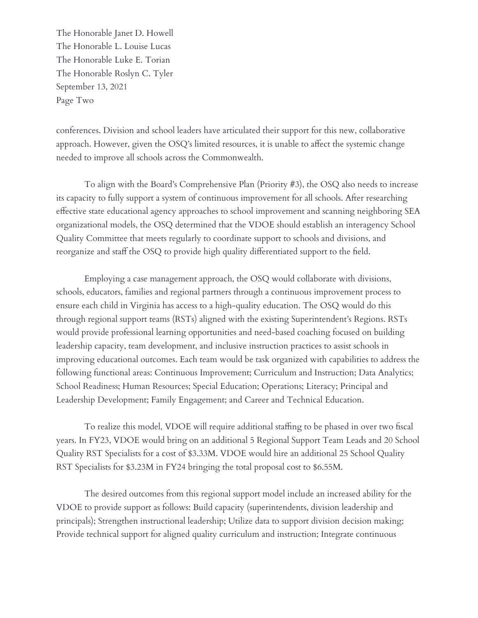The Honorable Janet D. Howell The Honorable L. Louise Lucas The Honorable Luke E. Torian The Honorable Roslyn C. Tyler September 13, 2021 Page Two

conferences. Division and school leaders have articulated their support for this new, collaborative approach. However, given the OSQ's limited resources, it is unable to affect the systemic change needed to improve all schools across the Commonwealth.

To align with the Board's Comprehensive Plan (Priority #3), the OSQ also needs to increase its capacity to fully support a system of continuous improvement for all schools. After researching effective state educational agency approaches to school improvement and scanning neighboring SEA organizational models, the OSQ determined that the VDOE should establish an interagency School Quality Committee that meets regularly to coordinate support to schools and divisions, and reorganize and staff the OSQ to provide high quality differentiated support to the field.

Employing a case management approach, the OSQ would collaborate with divisions, schools, educators, families and regional partners through a continuous improvement process to ensure each child in Virginia has access to a high-quality education. The OSQ would do this through regional support teams (RSTs) aligned with the existing Superintendent's Regions. RSTs would provide professional learning opportunities and need-based coaching focused on building leadership capacity, team development, and inclusive instruction practices to assist schools in improving educational outcomes. Each team would be task organized with capabilities to address the following functional areas: Continuous Improvement; Curriculum and Instruction; Data Analytics; School Readiness; Human Resources; Special Education; Operations; Literacy; Principal and Leadership Development; Family Engagement; and Career and Technical Education.

To realize this model, VDOE will require additional staffing to be phased in over two fiscal years. In FY23, VDOE would bring on an additional 5 Regional Support Team Leads and 20 School Quality RST Specialists for a cost of \$3.33M. VDOE would hire an additional 25 School Quality RST Specialists for \$3.23M in FY24 bringing the total proposal cost to \$6.55M.

The desired outcomes from this regional support model include an increased ability for the VDOE to provide support as follows: Build capacity (superintendents, division leadership and principals); Strengthen instructional leadership; Utilize data to support division decision making; Provide technical support for aligned quality curriculum and instruction; Integrate continuous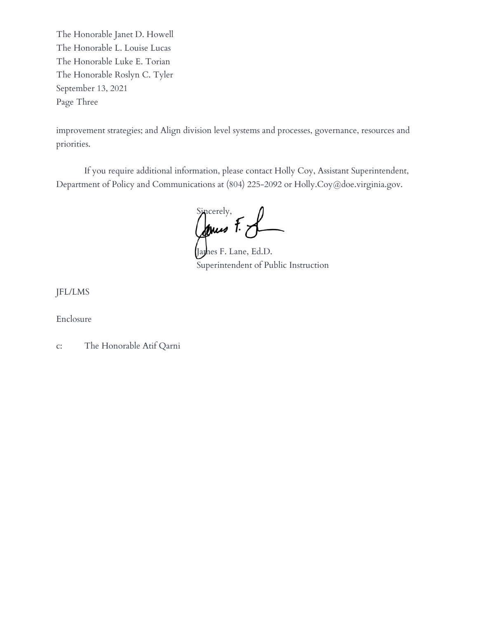The Honorable Janet D. Howell The Honorable L. Louise Lucas The Honorable Luke E. Torian The Honorable Roslyn C. Tyler September 13, 2021 Page Three

improvement strategies; and Align division level systems and processes, governance, resources and priorities.

If you require additional information, please contact Holly Coy, Assistant Superintendent, Department of Policy and Communications at (804) 225-2092 or Holly.Coy@doe.virginia.gov.

Sincerely,

Ja*y*hes F. Lane, Ed.D. Superintendent of Public Instruction

JFL/LMS

Enclosure

c: The Honorable Atif Qarni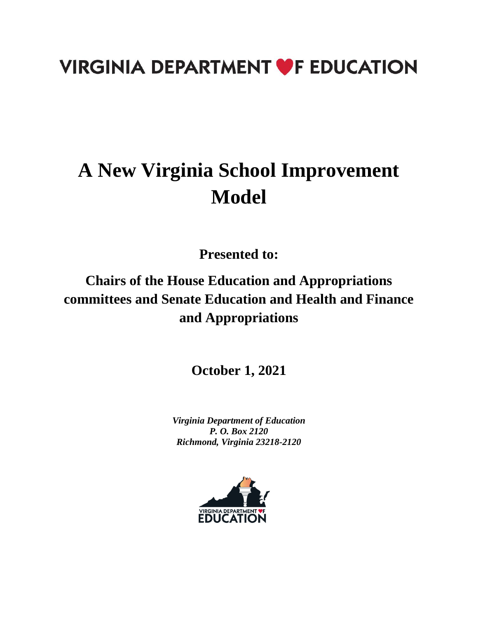## **VIRGINIA DEPARTMENT OF EDUCATION**

# **A New Virginia School Improvement Model**

**Presented to:**

### **Chairs of the House Education and Appropriations committees and Senate Education and Health and Finance and Appropriations**

**October 1, 2021**

*Virginia Department of Education P. O. Box 2120 Richmond, Virginia 23218-2120*

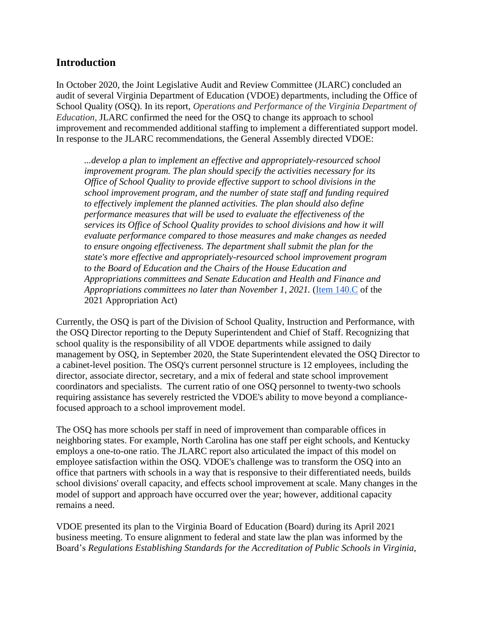### **Introduction**

In October 2020, the Joint Legislative Audit and Review Committee (JLARC) concluded an audit of several Virginia Department of Education (VDOE) departments, including the Office of School Quality (OSQ). In its report, *Operations and Performance of the Virginia Department of Education,* JLARC confirmed the need for the OSQ to change its approach to school improvement and recommended additional staffing to implement a differentiated support model. In response to the JLARC recommendations, the General Assembly directed VDOE:

*...develop a plan to implement an effective and appropriately-resourced school improvement program. The plan should specify the activities necessary for its Office of School Quality to provide effective support to school divisions in the school improvement program, and the number of state staff and funding required to effectively implement the planned activities. The plan should also define performance measures that will be used to evaluate the effectiveness of the services its Office of School Quality provides to school divisions and how it will evaluate performance compared to those measures and make changes as needed to ensure ongoing effectiveness. The department shall submit the plan for the state's more effective and appropriately-resourced school improvement program to the Board of Education and the Chairs of the House Education and Appropriations committees and Senate Education and Health and Finance and Appropriations committees no later than November 1, 2021.* [\(Item 140.C](https://budget.lis.virginia.gov/item/2021/2/HB1800/Chapter/1/140/) of the 2021 Appropriation Act)

Currently, the OSQ is part of the Division of School Quality, Instruction and Performance, with the OSQ Director reporting to the Deputy Superintendent and Chief of Staff. Recognizing that school quality is the responsibility of all VDOE departments while assigned to daily management by OSQ, in September 2020, the State Superintendent elevated the OSQ Director to a cabinet-level position. The OSQ's current personnel structure is 12 employees, including the director, associate director, secretary, and a mix of federal and state school improvement coordinators and specialists. The current ratio of one OSQ personnel to twenty-two schools requiring assistance has severely restricted the VDOE's ability to move beyond a compliancefocused approach to a school improvement model.

The OSQ has more schools per staff in need of improvement than comparable offices in neighboring states. For example, North Carolina has one staff per eight schools, and Kentucky employs a one-to-one ratio. The JLARC report also articulated the impact of this model on employee satisfaction within the OSQ. VDOE's challenge was to transform the OSQ into an office that partners with schools in a way that is responsive to their differentiated needs, builds school divisions' overall capacity, and effects school improvement at scale. Many changes in the model of support and approach have occurred over the year; however, additional capacity remains a need.

VDOE presented its plan to the Virginia Board of Education (Board) during its April 2021 business meeting. To ensure alignment to federal and state law the plan was informed by the Board's *Regulations Establishing Standards for the Accreditation of Public Schools in Virginia,*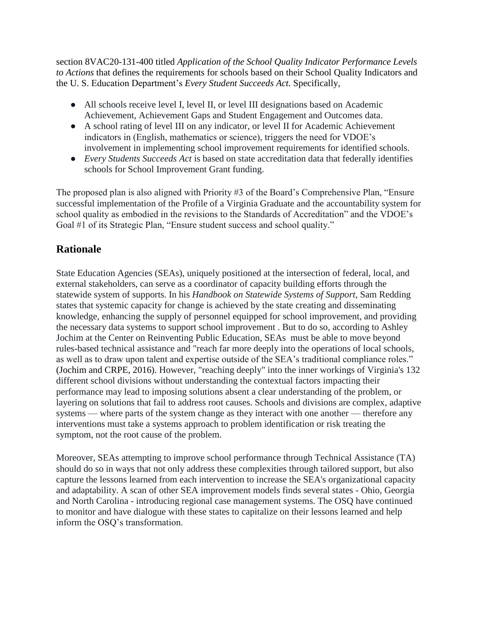section 8VAC20-131-400 titled *Application of the School Quality Indicator Performance Levels to Actions* that defines the requirements for schools based on their School Quality Indicators and the U. S. Education Department's *Every Student Succeeds Act.* Specifically,

- All schools receive level I, level II, or level III designations based on Academic Achievement, Achievement Gaps and Student Engagement and Outcomes data.
- A school rating of level III on any indicator, or level II for Academic Achievement indicators in (English, mathematics or science), triggers the need for VDOE's involvement in implementing school improvement requirements for identified schools.
- *Every Students Succeeds Act* is based on state accreditation data that federally identifies schools for School Improvement Grant funding.

The proposed plan is also aligned with Priority #3 of the Board's Comprehensive Plan, "Ensure successful implementation of the Profile of a Virginia Graduate and the accountability system for school quality as embodied in the revisions to the Standards of Accreditation" and the VDOE's Goal #1 of its Strategic Plan, "Ensure student success and school quality."

### **Rationale**

State Education Agencies (SEAs), uniquely positioned at the intersection of federal, local, and external stakeholders, can serve as a coordinator of capacity building efforts through the statewide system of supports. In his *Handbook on Statewide Systems of Support*, Sam Redding states that systemic capacity for change is achieved by the state creating and disseminating knowledge, enhancing the supply of personnel equipped for school improvement, and providing the necessary data systems to support school improvement . But to do so, according to Ashley Jochim at the Center on Reinventing Public Education, SEAs must be able to move beyond rules-based technical assistance and "reach far more deeply into the operations of local schools, as well as to draw upon talent and expertise outside of the SEA's traditional compliance roles." (Jochim and CRPE, 2016). However, "reaching deeply" into the inner workings of Virginia's 132 different school divisions without understanding the contextual factors impacting their performance may lead to imposing solutions absent a clear understanding of the problem, or layering on solutions that fail to address root causes. Schools and divisions are complex, adaptive systems — where parts of the system change as they interact with one another — therefore any interventions must take a systems approach to problem identification or risk treating the symptom, not the root cause of the problem.

Moreover, SEAs attempting to improve school performance through Technical Assistance (TA) should do so in ways that not only address these complexities through tailored support, but also capture the lessons learned from each intervention to increase the SEA's organizational capacity and adaptability. A scan of other SEA improvement models finds several states - Ohio, Georgia and North Carolina - introducing regional case management systems. The OSQ have continued to monitor and have dialogue with these states to capitalize on their lessons learned and help inform the OSQ's transformation.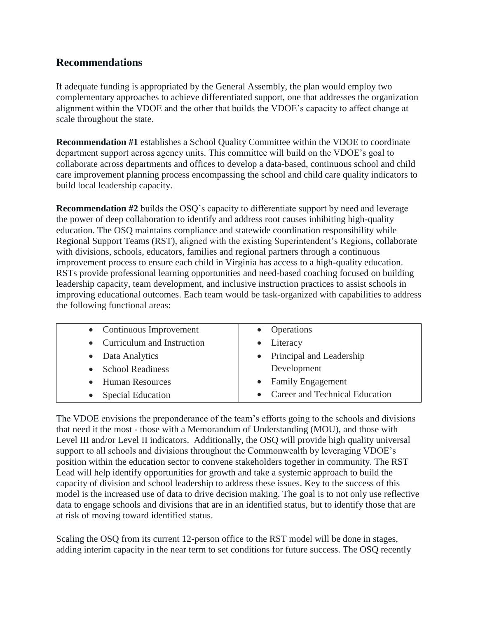### **Recommendations**

If adequate funding is appropriated by the General Assembly, the plan would employ two complementary approaches to achieve differentiated support, one that addresses the organization alignment within the VDOE and the other that builds the VDOE's capacity to affect change at scale throughout the state.

**Recommendation #1** establishes a School Quality Committee within the VDOE to coordinate department support across agency units. This committee will build on the VDOE's goal to collaborate across departments and offices to develop a data-based, continuous school and child care improvement planning process encompassing the school and child care quality indicators to build local leadership capacity.

**Recommendation #2** builds the OSQ's capacity to differentiate support by need and leverage the power of deep collaboration to identify and address root causes inhibiting high-quality education. The OSQ maintains compliance and statewide coordination responsibility while Regional Support Teams (RST), aligned with the existing Superintendent's Regions, collaborate with divisions, schools, educators, families and regional partners through a continuous improvement process to ensure each child in Virginia has access to a high-quality education. RSTs provide professional learning opportunities and need-based coaching focused on building leadership capacity, team development, and inclusive instruction practices to assist schools in improving educational outcomes. Each team would be task-organized with capabilities to address the following functional areas:

| • Continuous Improvement     | • Operations                     |
|------------------------------|----------------------------------|
| • Curriculum and Instruction | • Literacy                       |
| • Data Analytics             | • Principal and Leadership       |
| • School Readiness           | Development                      |
| • Human Resources            | • Family Engagement              |
| • Special Education          | • Career and Technical Education |

The VDOE envisions the preponderance of the team's efforts going to the schools and divisions that need it the most - those with a Memorandum of Understanding (MOU), and those with Level III and/or Level II indicators. Additionally, the OSQ will provide high quality universal support to all schools and divisions throughout the Commonwealth by leveraging VDOE's position within the education sector to convene stakeholders together in community. The RST Lead will help identify opportunities for growth and take a systemic approach to build the capacity of division and school leadership to address these issues. Key to the success of this model is the increased use of data to drive decision making. The goal is to not only use reflective data to engage schools and divisions that are in an identified status, but to identify those that are at risk of moving toward identified status.

Scaling the OSQ from its current 12-person office to the RST model will be done in stages, adding interim capacity in the near term to set conditions for future success. The OSQ recently